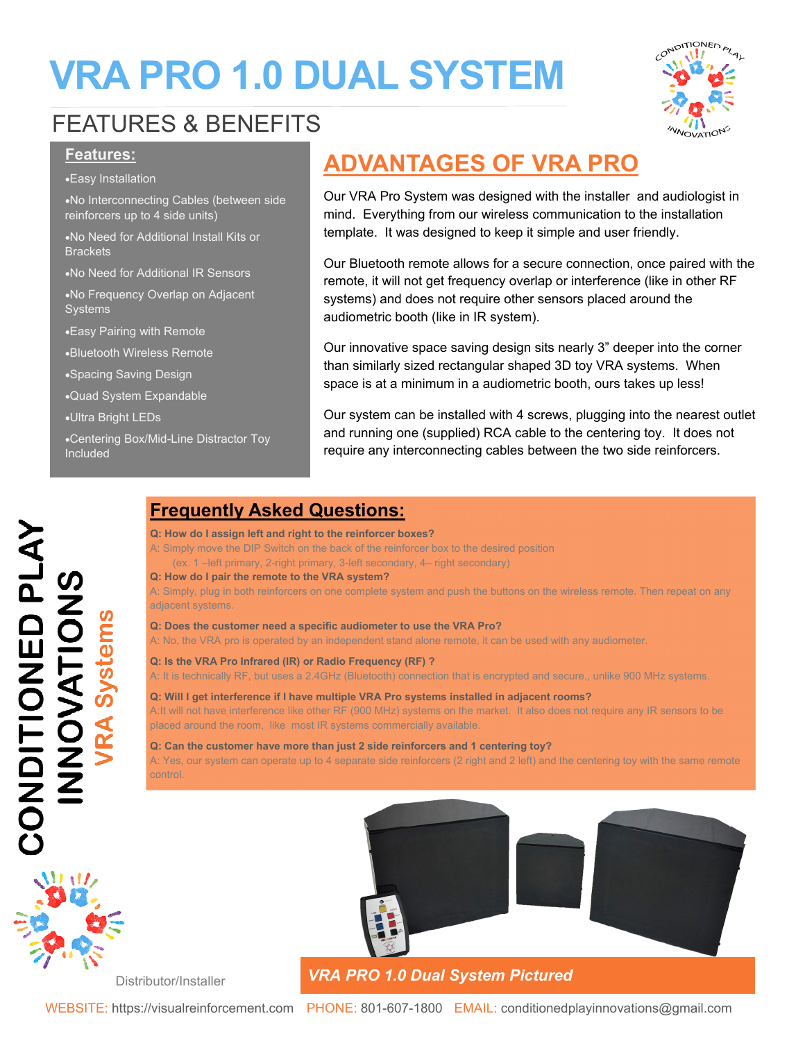# **VRA PRO 1.0 DUAL SYSTEM**



# FEATURES & BENEFITS

### **Features:**

Easy Installation

No Interconnecting Cables (between side reinforcers up to 4 side units)

No Need for Additional Install Kits or **Brackets** 

No Need for Additional IR Sensors

No Frequency Overlap on Adjacent **Systems** 

Easy Pairing with Remote

Bluetooth Wireless Remote

Spacing Saving Design

Quad System Expandable

Ultra Bright LEDs

Centering Box/Mid-Line Distractor Toy Included

Distributor/Installer

## **ADVANTAGES OF VRA PRO**

Our VRA Pro System was designed with the installer and audiologist in mind. Everything from our wireless communication to the installation template. It was designed to keep it simple and user friendly.

Our Bluetooth remote allows for a secure connection, once paired with the remote, it will not get frequency overlap or interference (like in other RF systems) and does not require other sensors placed around the audiometric booth (like in IR system).

Our innovative space saving design sits nearly 3" deeper into the corner than similarly sized rectangular shaped 3D toy VRA systems. When space is at a minimum in a audiometric booth, ours takes up less!

Our system can be installed with 4 screws, plugging into the nearest outlet and running one (supplied) RCA cable to the centering toy. It does not require any interconnecting cables between the two side reinforcers.

### **Frequently Asked Questions:**

#### **Q: How do I assign left and right to the reinforcer boxes?**

A: Simply move the DIP Switch on the back of the reinforcer box to the desired position (ex. 1 –left primary, 2-right primary, 3-left secondary, 4– right secondary)

#### **Q: How do I pair the remote to the VRA system?**

A: Simply, plug in both reinforcers on one complete system and push the buttons on the wireless remote. Then repeat on any adjacent systems.

#### **Q: Does the customer need a specific audiometer to use the VRA Pro?**

A: No, the VRA pro is operated by an independent stand alone remote, it can be used with any audiometer.

#### **Q: Is the VRA Pro Infrared (IR) or Radio Frequency (RF) ?**

A: It is technically RF, but uses a 2.4GHz (Bluetooth) connection that is encrypted and secure., unlike 900 MHz systems.

#### **Q: Will I get interference if I have multiple VRA Pro systems installed in adjacent rooms?**  A:It will not have interference like other RF (900 MHz) systems on the market. It also does not require any IR sensors to be placed around the room, like most IR systems commercially available.

**Q: Can the customer have more than just 2 side reinforcers and 1 centering toy?**  A: Yes, our system can operate up to 4 separate side reinforcers (2 right and 2 left) and the centering toy with the same remote control.



## *VRA PRO 1.0 Dual System Pictured*

WEBSITE: https://visualreinforcement.com PHONE: 801-607-1800 EMAIL: conditionedplayinnovations@gmail.com